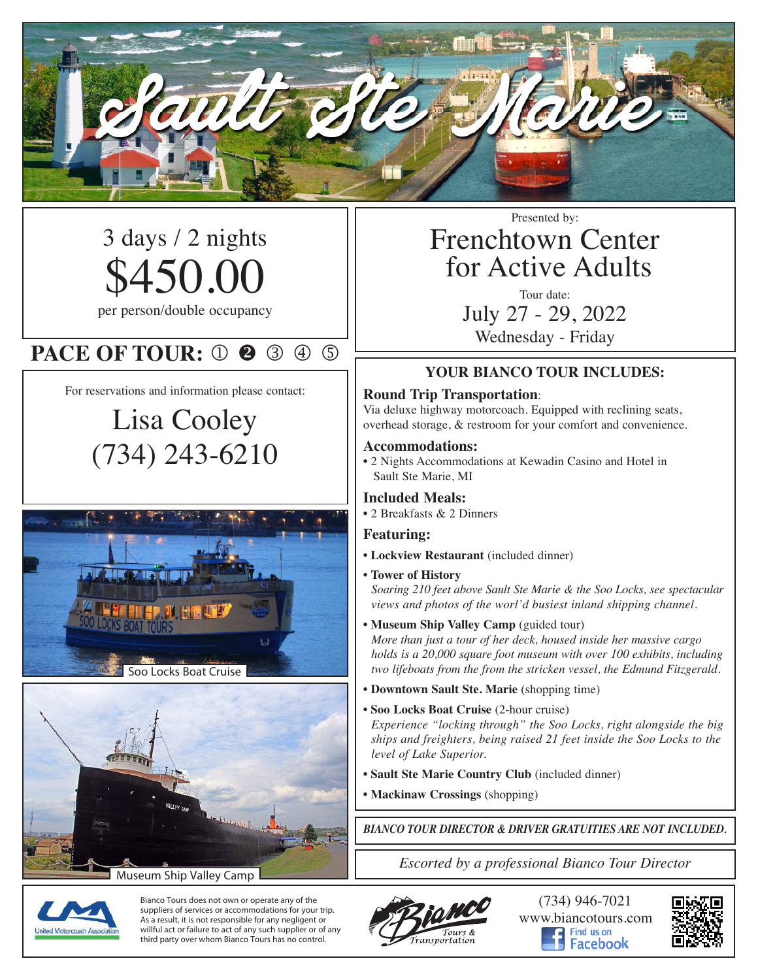

3 days / 2 nights \$450.00 per person/double occupancy

### **PACE OF TOUR: 0 2 3 4 5**

For reservations and information please contact:

# Lisa Cooley (734) 243-6210





Museum Ship Valley Camp

Presented by:

## Frenchtown Center for Active Adults

Tour date: July 27 - 29, 2022 Wednesday - Friday

#### **YOUR BIANCO TOUR INCLUDES:**

#### **Round Trip Transportation**:

Via deluxe highway motorcoach. Equipped with reclining seats, overhead storage, & restroom for your comfort and convenience.

#### **Accommodations:**

• 2 Nights Accommodations at Kewadin Casino and Hotel in Sault Ste Marie, MI

#### **Included Meals:**

• 2 Breakfasts & 2 Dinners

#### **Featuring:**

- **• Lockview Restaurant** (included dinner)
- **Tower of History**

*Soaring 210 feet above Sault Ste Marie & the Soo Locks, see spectacular views and photos of the worl'd busiest inland shipping channel.*

**• Museum Ship Valley Camp** (guided tour)

*More than just a tour of her deck, housed inside her massive cargo holds is a 20,000 square foot museum with over 100 exhibits, including two lifeboats from the from the stricken vessel, the Edmund Fitzgerald.*

- **Downtown Sault Ste. Marie** (shopping time)
- **• Soo Locks Boat Cruise** (2-hour cruise) *Experience "locking through" the Soo Locks, right alongside the big ships and freighters, being raised 21 feet inside the Soo Locks to the level of Lake Superior.*
- **• Sault Ste Marie Country Club** (included dinner)
- **• Mackinaw Crossings** (shopping)

*BIANCO TOUR DIRECTOR & DRIVER GRATUITIES ARE NOT INCLUDED.*

*Escorted by a professional Bianco Tour Director*



Bianco Tours does not own or operate any of the suppliers of services or accommodations for your trip. As a result, it is not responsible for any negligent or willful act or failure to act of any such supplier or of any third party over whom Bianco Tours has no control.



(734) 946-7021 www.biancotours.com acebook